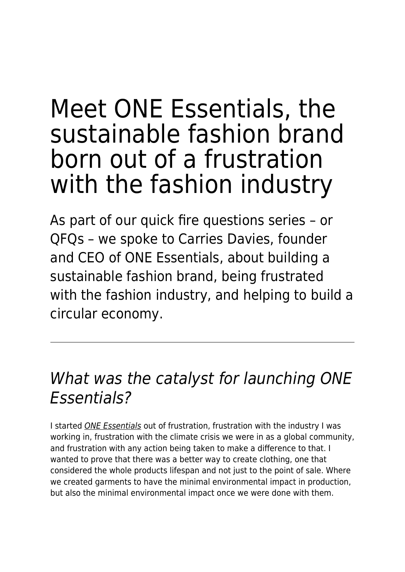# Meet ONE Essentials, the sustainable fashion brand born out of a frustration with the fashion industry

As part of our quick fire questions series – or QFQs – we spoke to Carries Davies, founder and CEO of ONE Essentials, about building a sustainable fashion brand, being frustrated with the fashion industry, and helping to build a circular economy.

## What was the catalyst for launching ONE Essentials?

I started [ONE Essentials](https://www.onee.earth/) out of frustration, frustration with the industry I was working in, frustration with the climate crisis we were in as a global community, and frustration with any action being taken to make a difference to that. I wanted to prove that there was a better way to create clothing, one that considered the whole products lifespan and not just to the point of sale. Where we created garments to have the minimal environmental impact in production, but also the minimal environmental impact once we were done with them.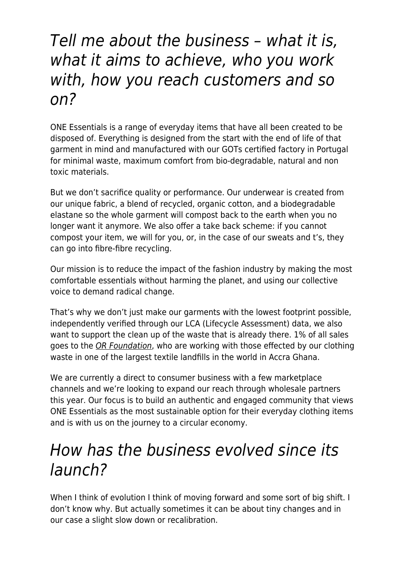#### Tell me about the business – what it is, what it aims to achieve, who you work with, how you reach customers and so on?

ONE Essentials is a range of everyday items that have all been created to be disposed of. Everything is designed from the start with the end of life of that garment in mind and manufactured with our GOTs certified factory in Portugal for minimal waste, maximum comfort from bio-degradable, natural and non toxic materials.

But we don't sacrifice quality or performance. Our underwear is created from our unique fabric, a blend of recycled, organic cotton, and a biodegradable elastane so the whole garment will compost back to the earth when you no longer want it anymore. We also offer a take back scheme: if you cannot compost your item, we will for you, or, in the case of our sweats and t's, they can go into fibre-fibre recycling.

Our mission is to reduce the impact of the fashion industry by making the most comfortable essentials without harming the planet, and using our collective voice to demand radical change.

That's why we don't just make our garments with the lowest footprint possible, independently verified through our LCA (Lifecycle Assessment) data, we also want to support the clean up of the waste that is already there. 1% of all sales goes to the [OR Foundation](https://theor.org/), who are working with those effected by our clothing waste in one of the largest textile landfills in the world in Accra Ghana.

We are currently a direct to consumer business with a few marketplace channels and we're looking to expand our reach through wholesale partners this year. Our focus is to build an authentic and engaged community that views ONE Essentials as the most sustainable option for their everyday clothing items and is with us on the journey to a circular economy.

## How has the business evolved since its launch?

When I think of evolution I think of moving forward and some sort of big shift. I don't know why. But actually sometimes it can be about tiny changes and in our case a slight slow down or recalibration.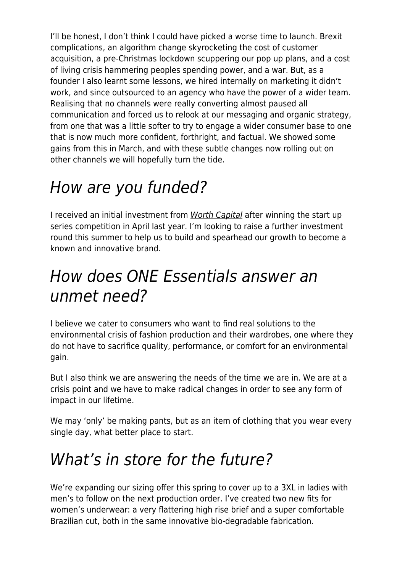I'll be honest, I don't think I could have picked a worse time to launch. Brexit complications, an algorithm change skyrocketing the cost of customer acquisition, a pre-Christmas lockdown scuppering our pop up plans, and a cost of living crisis hammering peoples spending power, and a war. But, as a founder I also learnt some lessons, we hired internally on marketing it didn't work, and since outsourced to an agency who have the power of a wider team. Realising that no channels were really converting almost paused all communication and forced us to relook at our messaging and organic strategy, from one that was a little softer to try to engage a wider consumer base to one that is now much more confident, forthright, and factual. We showed some gains from this in March, and with these subtle changes now rolling out on other channels we will hopefully turn the tide.

# How are you funded?

I received an initial investment from [Worth Capital](https://worthcapital.uk/) after winning the start up series competition in April last year. I'm looking to raise a further investment round this summer to help us to build and spearhead our growth to become a known and innovative brand.

### How does ONE Essentials answer an unmet need?

I believe we cater to consumers who want to find real solutions to the environmental crisis of fashion production and their wardrobes, one where they do not have to sacrifice quality, performance, or comfort for an environmental gain.

But I also think we are answering the needs of the time we are in. We are at a crisis point and we have to make radical changes in order to see any form of impact in our lifetime.

We may 'only' be making pants, but as an item of clothing that you wear every single day, what better place to start.

## What's in store for the future?

We're expanding our sizing offer this spring to cover up to a 3XL in ladies with men's to follow on the next production order. I've created two new fits for women's underwear: a very flattering high rise brief and a super comfortable Brazilian cut, both in the same innovative bio-degradable fabrication.